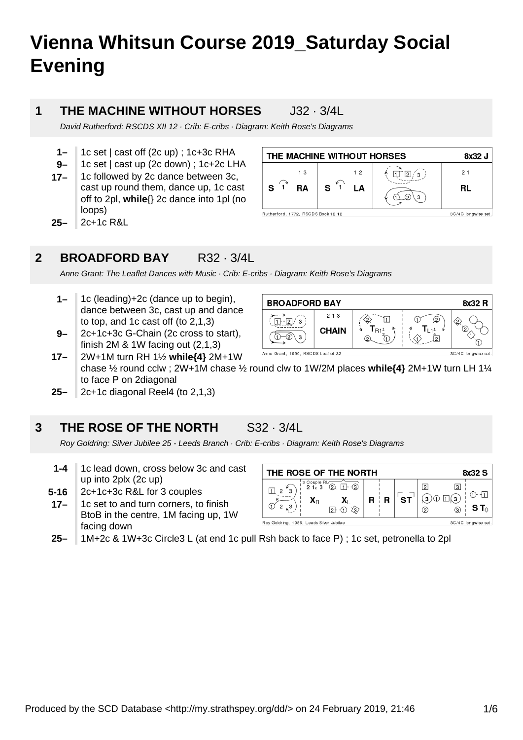# **Vienna Whitsun Course 2019\_Saturday Social Evening**

### **1**

### **THE MACHINE WITHOUT HORSES** J32 · 3/4L

David Rutherford: RSCDS XII 12 · Crib: E-cribs · Diagram: Keith Rose's Diagrams

- **1–** 1c set | cast off (2c up) ; 1c+3c RHA
- **9–** 1c set | cast up (2c down) ; 1c+2c LHA
- **17–** 1c followed by 2c dance between 3c, cast up round them, dance up, 1c cast off to 2pl, **while**{} 2c dance into 1pl (no loops)
- **25–** 2c+1c R&L



#### **2 BROADFORD BAY** R32 · 3/4L

Anne Grant: The Leaflet Dances with Music · Crib: E-cribs · Diagram: Keith Rose's Diagrams

- **1–** 1c (leading)+2c (dance up to begin), dance between 3c, cast up and dance to top, and 1c cast off (to 2,1,3)
- **9–** 2c+1c+3c G-Chain (2c cross to start), finish 2M & 1W facing out (2,1,3)



**17–** 2W+1M turn RH 1½ **while{4}** 2M+1W chase ½ round cclw ; 2W+1M chase ½ round clw to 1W/2M places **while{4}** 2M+1W turn LH 1¼ to face P on 2diagonal

**25–** 2c+1c diagonal Reel4 (to 2,1,3)

#### **3 THE ROSE OF THE NORTH** S32 · 3/4L

Roy Goldring: Silver Jubilee 25 - Leeds Branch · Crib: E-cribs · Diagram: Keith Rose's Diagrams

- **1-4** 1c lead down, cross below 3c and cast up into 2plx (2c up)
- **5-16** 2c+1c+3c R&L for 3 couples
- **17–** 1c set to and turn corners, to finish BtoB in the centre, 1M facing up, 1W facing down

| THE ROSE OF THE NORTH<br>8x32 S        |                              |  |   |    |                                       |                    |      |
|----------------------------------------|------------------------------|--|---|----|---------------------------------------|--------------------|------|
| 3 Couple RL<br>21x3<br>3<br>2<br>ĀR    | $\lceil$<br>(2)<br>Уз,<br>2ŀ |  | R | ST | $\overline{2}$<br>$\overline{a}$<br>2 | 3<br>(з<br>3       | S T∧ |
| Roy Goldring 1986 Leeds Silver Jubilee |                              |  |   |    |                                       | 3C/4C longwise set |      |

**25–** 1M+2c & 1W+3c Circle3 L (at end 1c pull Rsh back to face P) ; 1c set, petronella to 2pl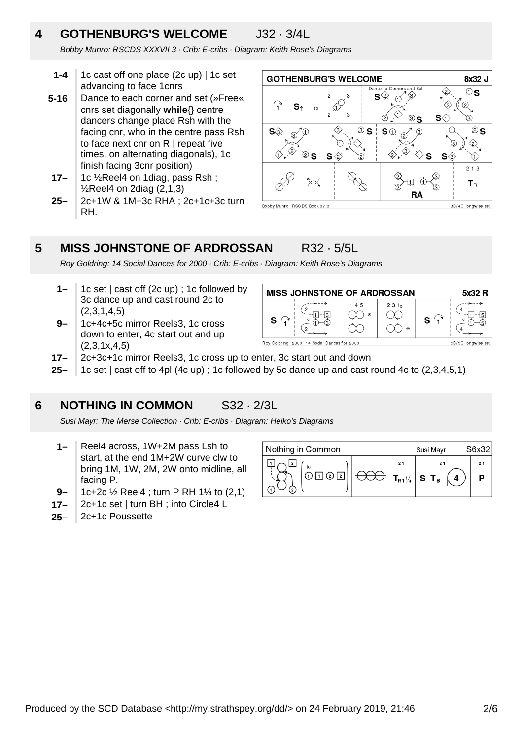## **4 GOTHENBURG'S WELCOME** J32 · 3/4L

Bobby Munro: RSCDS XXXVII 3 · Crib: E-cribs · Diagram: Keith Rose's Diagrams

- **1-4** 1c cast off one place (2c up) | 1c set advancing to face 1cnrs
- **5-16** Dance to each corner and set (»Free« cnrs set diagonally **while**{} centre dancers change place Rsh with the facing cnr, who in the centre pass Rsh to face next cnr on R I repeat five times, on alternating diagonals), 1c finish facing 3cnr position)
- **17–** 1c ½Reel4 on 1diag, pass Rsh ;  $\frac{1}{2}$ Reel4 on 2diag (2,1,3)
- **25–** 2c+1W & 1M+3c RHA ; 2c+1c+3c turn RH.



#### **5 MISS JOHNSTONE OF ARDROSSAN** R32 · 5/5L

Roy Goldring: 14 Social Dances for 2000 · Crib: E-cribs · Diagram: Keith Rose's Diagrams

- **1–** 1c set | cast off (2c up) ; 1c followed by 3c dance up and cast round 2c to (2,3,1,4,5)
- **9–** 1c+4c+5c mirror Reels3, 1c cross down to enter, 4c start out and up  $(2,3,1x,4,5)$



- **17–** 2c+3c+1c mirror Reels3, 1c cross up to enter, 3c start out and down
- **25–** 1c set | cast off to 4pl (4c up) ; 1c followed by 5c dance up and cast round 4c to (2,3,4,5,1)

#### **6 NOTHING IN COMMON** S32 · 2/3L

Susi Mayr: The Merse Collection · Crib: E-cribs · Diagram: Heiko's Diagrams

- **1–** Reel4 across, 1W+2M pass Lsh to start, at the end 1M+2W curve clw to bring 1M, 1W, 2M, 2W onto midline, all facing P.
- **9–** 1c+2c ½ Reel4 ; turn P RH 1¼ to (2,1)
- **17–** 2c+1c set | turn BH ; into Circle4 L
- **25–** 2c+1c Poussette

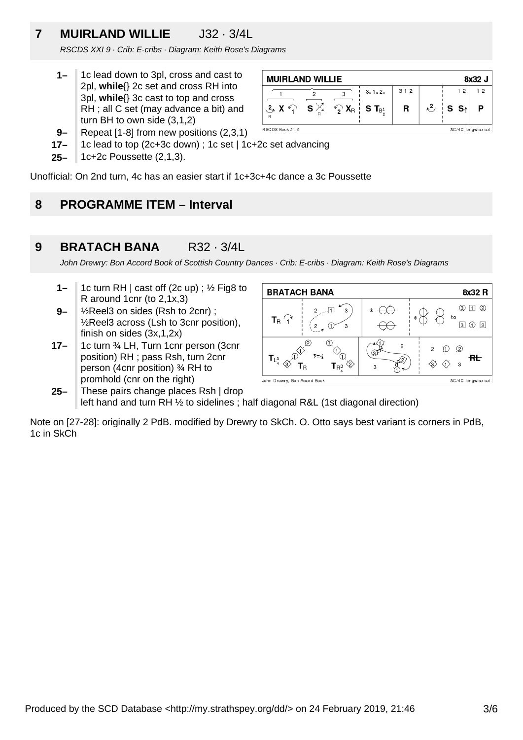# **7 MUIRLAND WILLIE** J32 · 3/4L

RSCDS XXI 9 · Crib: E-cribs · Diagram: Keith Rose's Diagrams

**1–** 1c lead down to 3pl, cross and cast to 2pl, **while**{} 2c set and cross RH into 3pl, **while**{} 3c cast to top and cross RH ; all C set (may advance a bit) and turn BH to own side (3,1,2)



- **17–** 1c lead to top (2c+3c down) ; 1c set | 1c+2c set advancing
- **25–** 1c+2c Poussette (2,1,3).

Unofficial: On 2nd turn, 4c has an easier start if 1c+3c+4c dance a 3c Poussette

#### **8 PROGRAMME ITEM – Interval**

#### **9 BRATACH BANA** R32 · 3/4L

John Drewry: Bon Accord Book of Scottish Country Dances · Crib: E-cribs · Diagram: Keith Rose's Diagrams

- **1–** 1c turn RH | cast off (2c up) ; ½ Fig8 to R around 1cnr (to 2,1x,3)
- **9–** ½Reel3 on sides (Rsh to 2cnr) ; ½Reel3 across (Lsh to 3cnr position), finish on sides (3x,1,2x)
- **17–** 1c turn ¾ LH, Turn 1cnr person (3cnr position) RH ; pass Rsh, turn 2cnr person (4cnr position) ¾ RH to promhold (cnr on the right)



**25–** These pairs change places Rsh | drop left hand and turn RH ½ to sidelines ; half diagonal R&L (1st diagonal direction)

Note on [27-28]: originally 2 PdB. modified by Drewry to SkCh. O. Otto says best variant is corners in PdB, 1c in SkCh

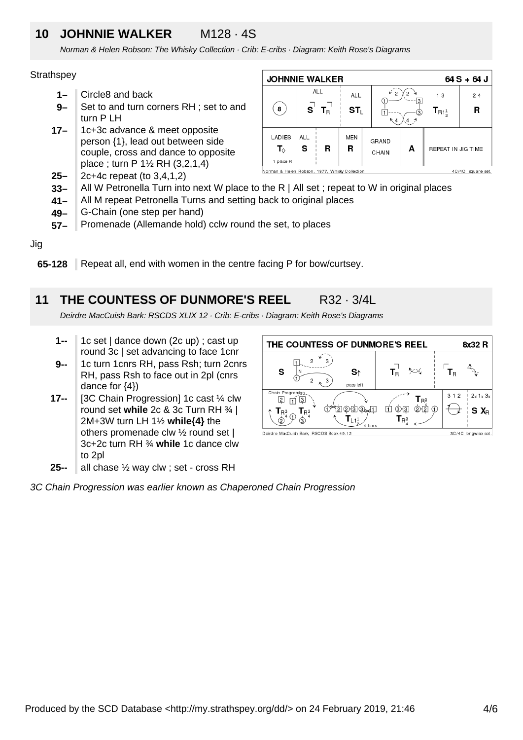### **10 JOHNNIE WALKER** M128 · 4S

Norman & Helen Robson: The Whisky Collection · Crib: E-cribs · Diagram: Keith Rose's Diagrams

### **Strathspey**

- **1–** Circle8 and back
- **9–** Set to and turn corners RH ; set to and turn P LH
- **17–** 1c+3c advance & meet opposite person {1}, lead out between side couple, cross and dance to opposite place ; turn P 1½ RH (3,2,1,4)
- **25–** 2c+4c repeat (to 3,4,1,2)



- **33–** All W Petronella Turn into next W place to the R | All set ; repeat to W in original places
- **41–** All M repeat Petronella Turns and setting back to original places
- **49–** G-Chain (one step per hand)
- **57–** Promenade (Allemande hold) cclw round the set, to places

Jig

**65-128** Repeat all, end with women in the centre facing P for bow/curtsey.

#### **11 THE COUNTESS OF DUNMORE'S REEL** R32 · 3/4L

Deirdre MacCuish Bark: RSCDS XLIX 12 · Crib: E-cribs · Diagram: Keith Rose's Diagrams

- **1--** 1c set | dance down (2c up) ; cast up round 3c | set advancing to face 1cnr
- **9--** 1c turn 1cnrs RH, pass Rsh; turn 2cnrs RH, pass Rsh to face out in 2pl (cnrs dance for  $\{4\}$ )
- **17--** [3C Chain Progression] 1c cast ¼ clw round set **while** 2c & 3c Turn RH ¾ | 2M+3W turn LH 1½ **while{4}** the others promenade clw ½ round set | 3c+2c turn RH ¾ **while** 1c dance clw to 2pl
- **25-** all chase ½ way clw ; set - cross RH

THE COUNTESS OF DUNMORE'S REEL 8x32 R  $\overline{2}$  $\overline{1}$  $\mathcal{L}$  $T_{\rm R}$  $T_{\rm B}^{-1}$  $\sim$ S S<sub>↑</sub> क़  $\overline{c}$ 3 pass left Chain Progression  $2x$  1x  $3x$  $312$  $\overline{P}$   $\overline{1}$   $\overline{P}$  $T_{R^3}$ **ADDER**  $\overline{u}$  ( )  $\overline{u}$  ( )  $\overline{u}$  ( )  $\overline{u}$  $T_{\rm R}$ <sup>3</sup>  $T_{\rm R}^{3}$  $S X_{R}$  $\odot$  $T_{\mathsf{R}_4^3}$  $T_{L1_{2}^{1}}$ '⊗  $\circledS$ ∕<br>4 hari Deirdre MacCuish Bark, RSCDS Book 49.12 3C/4C longwise set.

3C Chain Progression was earlier known as Chaperoned Chain Progression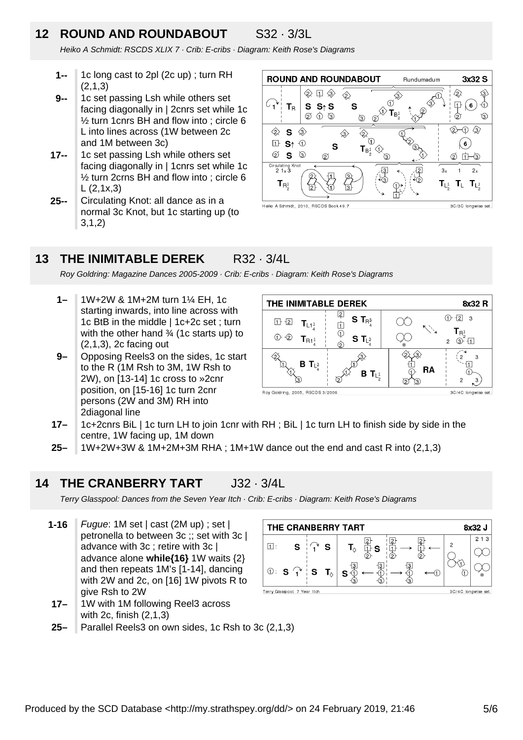# **12 ROUND AND ROUNDABOUT** S32 · 3/3L

Heiko A Schmidt: RSCDS XLIX 7 · Crib: E-cribs · Diagram: Keith Rose's Diagrams

- **1--** 1c long cast to 2pl (2c up) ; turn RH (2,1,3)
- **9--** 1c set passing Lsh while others set facing diagonally in | 2cnrs set while 1c ½ turn 1cnrs BH and flow into ; circle 6 L into lines across (1W between 2c and 1M between 3c)
- **17--** 1c set passing Lsh while others set facing diagonally in | 1cnrs set while 1c ½ turn 2crns BH and flow into ; circle 6  $L (2, 1x, 3)$
- **25--** Circulating Knot: all dance as in a normal 3c Knot, but 1c starting up (to 3,1,2)



#### **13 THE INIMITABLE DEREK** R32 · 3/4L

Roy Goldring: Magazine Dances 2005-2009 · Crib: E-cribs · Diagram: Keith Rose's Diagrams

- **1–** 1W+2W & 1M+2M turn 1¼ EH, 1c starting inwards, into line across with 1c BtB in the middle | 1c+2c set ; turn with the other hand 3/4 (1c starts up) to (2,1,3), 2c facing out
- **9–** Opposing Reels3 on the sides, 1c start to the R (1M Rsh to 3M, 1W Rsh to 2W), on [13-14] 1c cross to »2cnr position, on [15-16] 1c turn 2cnr persons (2W and 3M) RH into 2diagonal line



Roy Goldring, 2005, RSCDS 3/2006

3C/4C longwise s

- **17–** 1c+2cnrs BiL | 1c turn LH to join 1cnr with RH ; BiL | 1c turn LH to finish side by side in the centre, 1W facing up, 1M down
- **25–** 1W+2W+3W & 1M+2M+3M RHA ; 1M+1W dance out the end and cast R into (2,1,3)

#### **14 THE CRANBERRY TART** J32 · 3/4L

Terry Glasspool: Dances from the Seven Year Itch · Crib: E-cribs · Diagram: Keith Rose's Diagrams

- **1-16** Fugue: 1M set | cast (2M up) ; set | petronella to between 3c ;; set with 3c | advance with 3c ; retire with 3c | advance alone **while{16}** 1W waits {2} and then repeats 1M's [1-14], dancing with 2W and 2c, on [16] 1W pivots R to give Rsh to 2W
- **17–** 1W with 1M following Reel3 across with 2c, finish (2,1,3)
- **25–** Parallel Reels3 on own sides, 1c Rsh to 3c (2,1,3)